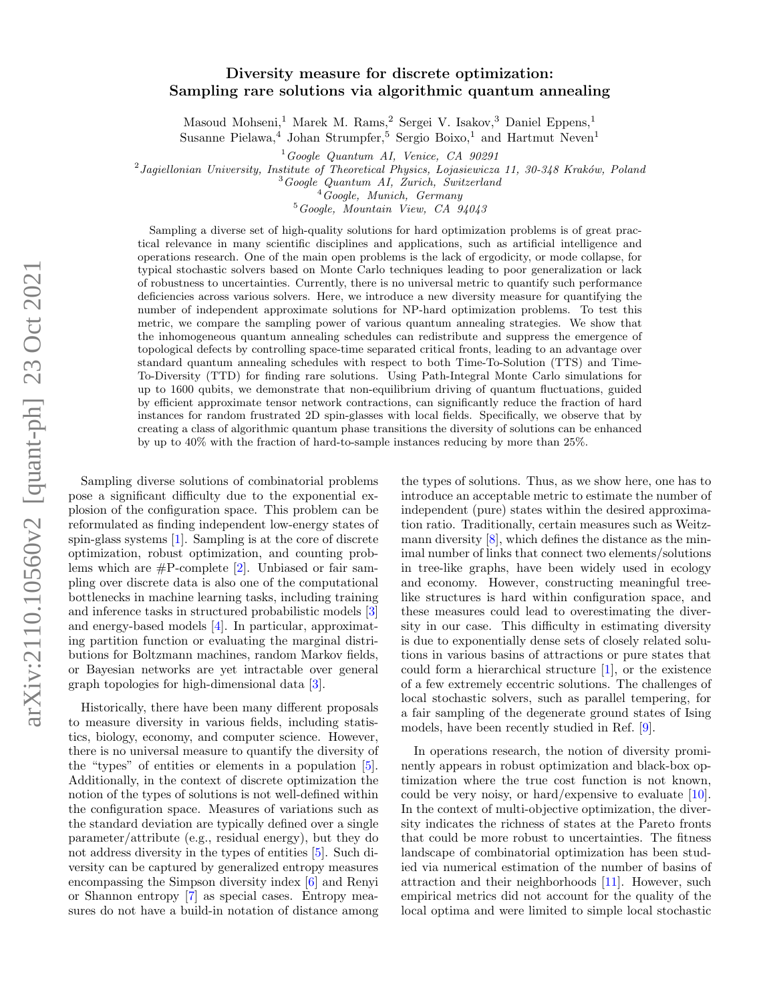# arXiv:2110.10560v2 [quant-ph] 23 Oct 2021 arXiv:2110.10560v2 [quant-ph] 23 Oct 2021

# Diversity measure for discrete optimization: Sampling rare solutions via algorithmic quantum annealing

Masoud Mohseni,<sup>1</sup> Marek M. Rams,<sup>2</sup> Sergei V. Isakov,<sup>3</sup> Daniel Eppens,<sup>1</sup>

Susanne Pielawa,<sup>4</sup> Johan Strumpfer,<sup>5</sup> Sergio Boixo,<sup>1</sup> and Hartmut Neven<sup>1</sup>

 $1$ Google Quantum AI, Venice, CA 90291

<sup>2</sup> Jagiellonian University, Institute of Theoretical Physics, Lojasiewicza 11, 30-348 Kraków, Poland

<sup>3</sup>Google Quantum AI, Zurich, Switzerland

 $4$ Google, Munich, Germany

<sup>5</sup>Google, Mountain View, CA 94043

Sampling a diverse set of high-quality solutions for hard optimization problems is of great practical relevance in many scientific disciplines and applications, such as artificial intelligence and operations research. One of the main open problems is the lack of ergodicity, or mode collapse, for typical stochastic solvers based on Monte Carlo techniques leading to poor generalization or lack of robustness to uncertainties. Currently, there is no universal metric to quantify such performance deficiencies across various solvers. Here, we introduce a new diversity measure for quantifying the number of independent approximate solutions for NP-hard optimization problems. To test this metric, we compare the sampling power of various quantum annealing strategies. We show that the inhomogeneous quantum annealing schedules can redistribute and suppress the emergence of topological defects by controlling space-time separated critical fronts, leading to an advantage over standard quantum annealing schedules with respect to both Time-To-Solution (TTS) and Time-To-Diversity (TTD) for finding rare solutions. Using Path-Integral Monte Carlo simulations for up to 1600 qubits, we demonstrate that non-equilibrium driving of quantum fluctuations, guided by efficient approximate tensor network contractions, can significantly reduce the fraction of hard instances for random frustrated 2D spin-glasses with local fields. Specifically, we observe that by creating a class of algorithmic quantum phase transitions the diversity of solutions can be enhanced by up to 40% with the fraction of hard-to-sample instances reducing by more than 25%.

Sampling diverse solutions of combinatorial problems pose a significant difficulty due to the exponential explosion of the configuration space. This problem can be reformulated as finding independent low-energy states of spin-glass systems [\[1\]](#page-9-0). Sampling is at the core of discrete optimization, robust optimization, and counting problems which are  $#P$ -complete [\[2\]](#page-9-1). Unbiased or fair sampling over discrete data is also one of the computational bottlenecks in machine learning tasks, including training and inference tasks in structured probabilistic models [\[3\]](#page-9-2) and energy-based models [\[4\]](#page-10-0). In particular, approximating partition function or evaluating the marginal distributions for Boltzmann machines, random Markov fields, or Bayesian networks are yet intractable over general graph topologies for high-dimensional data [\[3\]](#page-9-2).

Historically, there have been many different proposals to measure diversity in various fields, including statistics, biology, economy, and computer science. However, there is no universal measure to quantify the diversity of the "types" of entities or elements in a population [\[5\]](#page-10-1). Additionally, in the context of discrete optimization the notion of the types of solutions is not well-defined within the configuration space. Measures of variations such as the standard deviation are typically defined over a single parameter/attribute (e.g., residual energy), but they do not address diversity in the types of entities [\[5\]](#page-10-1). Such diversity can be captured by generalized entropy measures encompassing the Simpson diversity index [\[6\]](#page-10-2) and Renyi or Shannon entropy [\[7\]](#page-10-3) as special cases. Entropy measures do not have a build-in notation of distance among

the types of solutions. Thus, as we show here, one has to introduce an acceptable metric to estimate the number of independent (pure) states within the desired approximation ratio. Traditionally, certain measures such as Weitzmann diversity  $[8]$ , which defines the distance as the minimal number of links that connect two elements/solutions in tree-like graphs, have been widely used in ecology and economy. However, constructing meaningful treelike structures is hard within configuration space, and these measures could lead to overestimating the diversity in our case. This difficulty in estimating diversity is due to exponentially dense sets of closely related solutions in various basins of attractions or pure states that could form a hierarchical structure [\[1\]](#page-9-0), or the existence of a few extremely eccentric solutions. The challenges of local stochastic solvers, such as parallel tempering, for a fair sampling of the degenerate ground states of Ising models, have been recently studied in Ref. [\[9\]](#page-10-5).

In operations research, the notion of diversity prominently appears in robust optimization and black-box optimization where the true cost function is not known, could be very noisy, or hard/expensive to evaluate [\[10\]](#page-10-6). In the context of multi-objective optimization, the diversity indicates the richness of states at the Pareto fronts that could be more robust to uncertainties. The fitness landscape of combinatorial optimization has been studied via numerical estimation of the number of basins of attraction and their neighborhoods [\[11\]](#page-10-7). However, such empirical metrics did not account for the quality of the local optima and were limited to simple local stochastic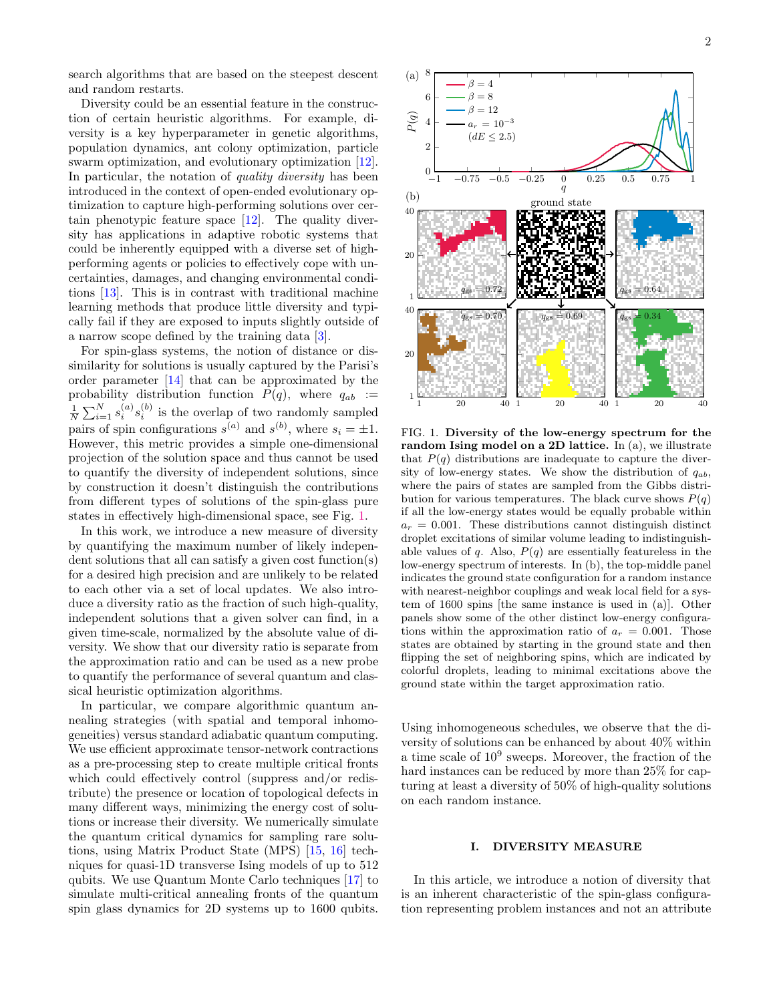Diversity could be an essential feature in the construction of certain heuristic algorithms. For example, diversity is a key hyperparameter in genetic algorithms, population dynamics, ant colony optimization, particle swarm optimization, and evolutionary optimization [\[12\]](#page-10-8). In particular, the notation of *quality diversity* has been introduced in the context of open-ended evolutionary optimization to capture high-performing solutions over certain phenotypic feature space [\[12\]](#page-10-8). The quality diversity has applications in adaptive robotic systems that could be inherently equipped with a diverse set of highperforming agents or policies to effectively cope with uncertainties, damages, and changing environmental conditions [\[13\]](#page-10-9). This is in contrast with traditional machine learning methods that produce little diversity and typically fail if they are exposed to inputs slightly outside of a narrow scope defined by the training data [\[3\]](#page-9-2).

For spin-glass systems, the notion of distance or dissimilarity for solutions is usually captured by the Parisi's order parameter [\[14\]](#page-10-10) that can be approximated by the probability distribution function  $P(q)$ , where  $q_{ab}$  :=  $\frac{1}{N}\sum_{i=1}^{N} s_i^{(a)} s_i^{(b)}$  is the overlap of two randomly sampled pairs of spin configurations  $s^{(a)}$  and  $s^{(b)}$ , where  $s_i = \pm 1$ . However, this metric provides a simple one-dimensional projection of the solution space and thus cannot be used to quantify the diversity of independent solutions, since by construction it doesn't distinguish the contributions from different types of solutions of the spin-glass pure states in effectively high-dimensional space, see Fig. [1.](#page-1-0)

In this work, we introduce a new measure of diversity by quantifying the maximum number of likely independent solutions that all can satisfy a given cost function(s) for a desired high precision and are unlikely to be related to each other via a set of local updates. We also introduce a diversity ratio as the fraction of such high-quality, independent solutions that a given solver can find, in a given time-scale, normalized by the absolute value of diversity. We show that our diversity ratio is separate from the approximation ratio and can be used as a new probe to quantify the performance of several quantum and classical heuristic optimization algorithms.

In particular, we compare algorithmic quantum annealing strategies (with spatial and temporal inhomogeneities) versus standard adiabatic quantum computing. We use efficient approximate tensor-network contractions as a pre-processing step to create multiple critical fronts which could effectively control (suppress and/or redistribute) the presence or location of topological defects in many different ways, minimizing the energy cost of solutions or increase their diversity. We numerically simulate the quantum critical dynamics for sampling rare solutions, using Matrix Product State (MPS) [\[15,](#page-10-11) [16\]](#page-10-12) techniques for quasi-1D transverse Ising models of up to 512 qubits. We use Quantum Monte Carlo techniques [\[17\]](#page-10-13) to simulate multi-critical annealing fronts of the quantum spin glass dynamics for 2D systems up to 1600 qubits.



<span id="page-1-0"></span>FIG. 1. Diversity of the low-energy spectrum for the random Ising model on a 2D lattice. In (a), we illustrate that  $P(q)$  distributions are inadequate to capture the diversity of low-energy states. We show the distribution of  $q_{ab}$ , where the pairs of states are sampled from the Gibbs distribution for various temperatures. The black curve shows  $P(q)$ if all the low-energy states would be equally probable within  $a_r = 0.001$ . These distributions cannot distinguish distinct droplet excitations of similar volume leading to indistinguishable values of q. Also,  $P(q)$  are essentially featureless in the low-energy spectrum of interests. In (b), the top-middle panel indicates the ground state configuration for a random instance with nearest-neighbor couplings and weak local field for a system of 1600 spins [the same instance is used in (a)]. Other panels show some of the other distinct low-energy configurations within the approximation ratio of  $a_r = 0.001$ . Those states are obtained by starting in the ground state and then flipping the set of neighboring spins, which are indicated by colorful droplets, leading to minimal excitations above the ground state within the target approximation ratio.

Using inhomogeneous schedules, we observe that the diversity of solutions can be enhanced by about 40% within a time scale of 10<sup>9</sup> sweeps. Moreover, the fraction of the hard instances can be reduced by more than 25% for capturing at least a diversity of 50% of high-quality solutions on each random instance.

# I. DIVERSITY MEASURE

In this article, we introduce a notion of diversity that is an inherent characteristic of the spin-glass configuration representing problem instances and not an attribute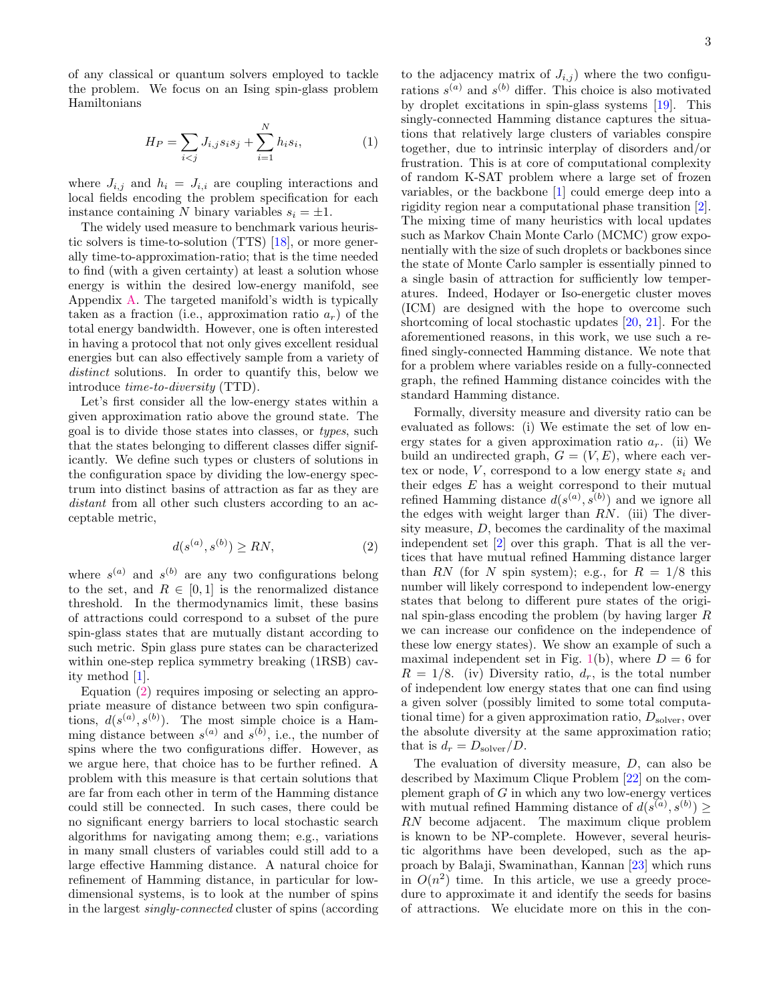of any classical or quantum solvers employed to tackle the problem. We focus on an Ising spin-glass problem Hamiltonians

$$
H_P = \sum_{i < j} J_{i,j} s_i s_j + \sum_{i=1}^N h_i s_i,\tag{1}
$$

where  $J_{i,j}$  and  $h_i = J_{i,i}$  are coupling interactions and local fields encoding the problem specification for each instance containing N binary variables  $s_i = \pm 1$ .

The widely used measure to benchmark various heuristic solvers is time-to-solution (TTS) [\[18\]](#page-10-14), or more generally time-to-approximation-ratio; that is the time needed to find (with a given certainty) at least a solution whose energy is within the desired low-energy manifold, see Appendix [A.](#page-8-0) The targeted manifold's width is typically taken as a fraction (i.e., approximation ratio  $a_r$ ) of the total energy bandwidth. However, one is often interested in having a protocol that not only gives excellent residual energies but can also effectively sample from a variety of distinct solutions. In order to quantify this, below we introduce time-to-diversity (TTD).

Let's first consider all the low-energy states within a given approximation ratio above the ground state. The goal is to divide those states into classes, or types, such that the states belonging to different classes differ significantly. We define such types or clusters of solutions in the configuration space by dividing the low-energy spectrum into distinct basins of attraction as far as they are distant from all other such clusters according to an acceptable metric,

<span id="page-2-0"></span>
$$
d(s^{(a)}, s^{(b)}) \ge RN,\tag{2}
$$

where  $s^{(a)}$  and  $s^{(b)}$  are any two configurations belong to the set, and  $R \in [0,1]$  is the renormalized distance threshold. In the thermodynamics limit, these basins of attractions could correspond to a subset of the pure spin-glass states that are mutually distant according to such metric. Spin glass pure states can be characterized within one-step replica symmetry breaking  $(1RSB)$  cavity method [\[1\]](#page-9-0).

Equation [\(2\)](#page-2-0) requires imposing or selecting an appropriate measure of distance between two spin configurations,  $d(s^{(a)}, s^{(b)})$ . The most simple choice is a Hamming distance between  $s^{(a)}$  and  $s^{(b)}$ , i.e., the number of spins where the two configurations differ. However, as we argue here, that choice has to be further refined. A problem with this measure is that certain solutions that are far from each other in term of the Hamming distance could still be connected. In such cases, there could be no significant energy barriers to local stochastic search algorithms for navigating among them; e.g., variations in many small clusters of variables could still add to a large effective Hamming distance. A natural choice for refinement of Hamming distance, in particular for lowdimensional systems, is to look at the number of spins in the largest singly-connected cluster of spins (according

to the adjacency matrix of  $J_{i,j}$ ) where the two configurations  $s^{(a)}$  and  $s^{(b)}$  differ. This choice is also motivated by droplet excitations in spin-glass systems [\[19\]](#page-10-15). This singly-connected Hamming distance captures the situations that relatively large clusters of variables conspire together, due to intrinsic interplay of disorders and/or frustration. This is at core of computational complexity of random K-SAT problem where a large set of frozen variables, or the backbone [\[1\]](#page-9-0) could emerge deep into a rigidity region near a computational phase transition [\[2\]](#page-9-1). The mixing time of many heuristics with local updates such as Markov Chain Monte Carlo (MCMC) grow exponentially with the size of such droplets or backbones since the state of Monte Carlo sampler is essentially pinned to a single basin of attraction for sufficiently low temperatures. Indeed, Hodayer or Iso-energetic cluster moves (ICM) are designed with the hope to overcome such shortcoming of local stochastic updates [\[20,](#page-10-16) [21\]](#page-10-17). For the aforementioned reasons, in this work, we use such a refined singly-connected Hamming distance. We note that for a problem where variables reside on a fully-connected graph, the refined Hamming distance coincides with the standard Hamming distance.

Formally, diversity measure and diversity ratio can be evaluated as follows: (i) We estimate the set of low energy states for a given approximation ratio  $a_r$ . (ii) We build an undirected graph,  $G = (V, E)$ , where each vertex or node,  $V$ , correspond to a low energy state  $s_i$  and their edges  $E$  has a weight correspond to their mutual refined Hamming distance  $d(s^{(a)}, s^{(b)})$  and we ignore all the edges with weight larger than  $RN$ . (iii) The diversity measure, D, becomes the cardinality of the maximal independent set [\[2\]](#page-9-1) over this graph. That is all the vertices that have mutual refined Hamming distance larger than RN (for N spin system); e.g., for  $R = 1/8$  this number will likely correspond to independent low-energy states that belong to different pure states of the original spin-glass encoding the problem (by having larger R we can increase our confidence on the independence of these low energy states). We show an example of such a maximal independent set in Fig. [1\(](#page-1-0)b), where  $D = 6$  for  $R = 1/8$ . (iv) Diversity ratio,  $d_r$ , is the total number of independent low energy states that one can find using a given solver (possibly limited to some total computational time) for a given approximation ratio,  $D_{\text{solver}}$ , over the absolute diversity at the same approximation ratio; that is  $d_r = D_{\text{solver}}/D$ .

The evaluation of diversity measure,  $D$ , can also be described by Maximum Clique Problem [\[22\]](#page-10-18) on the complement graph of  $G$  in which any two low-energy vertices with mutual refined Hamming distance of  $d(s^{(a)}, s^{(b)}) \geq$ RN become adjacent. The maximum clique problem is known to be NP-complete. However, several heuristic algorithms have been developed, such as the approach by Balaji, Swaminathan, Kannan [\[23\]](#page-10-19) which runs in  $O(n^2)$  time. In this article, we use a greedy procedure to approximate it and identify the seeds for basins of attractions. We elucidate more on this in the con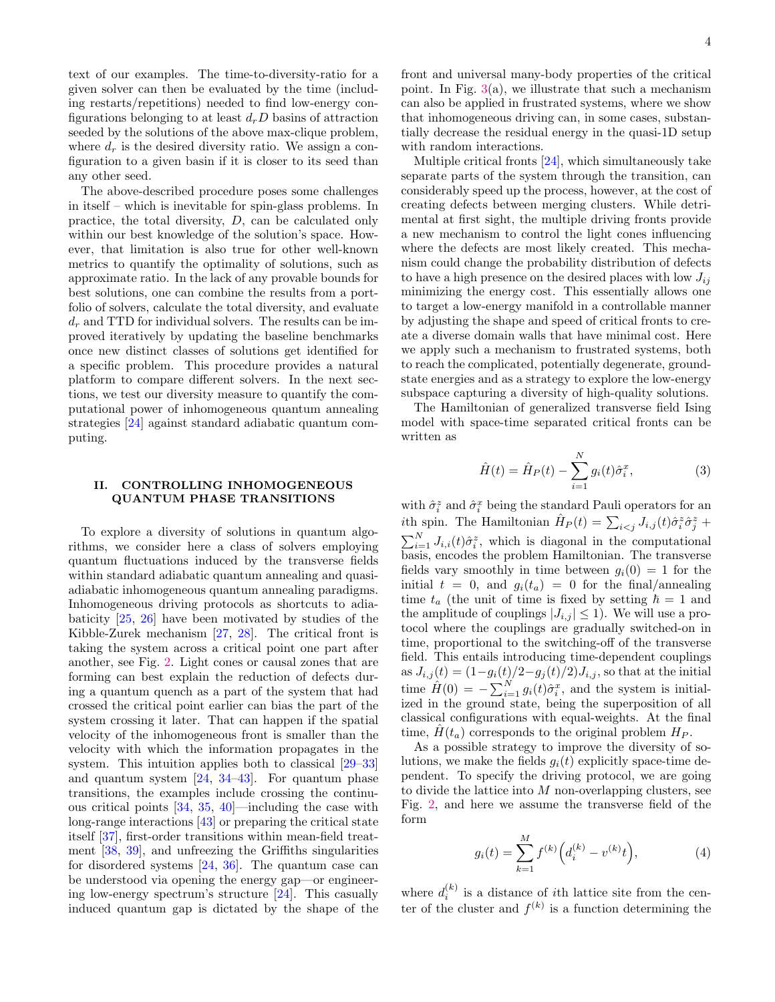text of our examples. The time-to-diversity-ratio for a given solver can then be evaluated by the time (including restarts/repetitions) needed to find low-energy configurations belonging to at least  $d<sub>r</sub>D$  basins of attraction seeded by the solutions of the above max-clique problem, where  $d_r$  is the desired diversity ratio. We assign a configuration to a given basin if it is closer to its seed than any other seed.

The above-described procedure poses some challenges in itself – which is inevitable for spin-glass problems. In practice, the total diversity, D, can be calculated only within our best knowledge of the solution's space. However, that limitation is also true for other well-known metrics to quantify the optimality of solutions, such as approximate ratio. In the lack of any provable bounds for best solutions, one can combine the results from a portfolio of solvers, calculate the total diversity, and evaluate  $d_r$  and TTD for individual solvers. The results can be improved iteratively by updating the baseline benchmarks once new distinct classes of solutions get identified for a specific problem. This procedure provides a natural platform to compare different solvers. In the next sections, we test our diversity measure to quantify the computational power of inhomogeneous quantum annealing strategies [\[24\]](#page-10-20) against standard adiabatic quantum computing.

# II. CONTROLLING INHOMOGENEOUS QUANTUM PHASE TRANSITIONS

To explore a diversity of solutions in quantum algorithms, we consider here a class of solvers employing quantum fluctuations induced by the transverse fields within standard adiabatic quantum annealing and quasiadiabatic inhomogeneous quantum annealing paradigms. Inhomogeneous driving protocols as shortcuts to adiabaticity [\[25,](#page-10-21) [26\]](#page-10-22) have been motivated by studies of the Kibble-Zurek mechanism [\[27,](#page-10-23) [28\]](#page-10-24). The critical front is taking the system across a critical point one part after another, see Fig. [2.](#page-4-0) Light cones or causal zones that are forming can best explain the reduction of defects during a quantum quench as a part of the system that had crossed the critical point earlier can bias the part of the system crossing it later. That can happen if the spatial velocity of the inhomogeneous front is smaller than the velocity with which the information propagates in the system. This intuition applies both to classical [\[29](#page-10-25)[–33\]](#page-10-26) and quantum system [\[24,](#page-10-20) [34–](#page-10-27)[43\]](#page-11-0). For quantum phase transitions, the examples include crossing the continuous critical points [\[34,](#page-10-27) [35,](#page-10-28) [40\]](#page-10-29)—including the case with long-range interactions [\[43\]](#page-11-0) or preparing the critical state itself [\[37\]](#page-10-30), first-order transitions within mean-field treatment [\[38,](#page-10-31) [39\]](#page-10-32), and unfreezing the Griffiths singularities for disordered systems [\[24,](#page-10-20) [36\]](#page-10-33). The quantum case can be understood via opening the energy gap—or engineering low-energy spectrum's structure [\[24\]](#page-10-20). This casually induced quantum gap is dictated by the shape of the front and universal many-body properties of the critical point. In Fig.  $3(a)$  $3(a)$ , we illustrate that such a mechanism can also be applied in frustrated systems, where we show that inhomogeneous driving can, in some cases, substantially decrease the residual energy in the quasi-1D setup with random interactions.

Multiple critical fronts [\[24\]](#page-10-20), which simultaneously take separate parts of the system through the transition, can considerably speed up the process, however, at the cost of creating defects between merging clusters. While detrimental at first sight, the multiple driving fronts provide a new mechanism to control the light cones influencing where the defects are most likely created. This mechanism could change the probability distribution of defects to have a high presence on the desired places with low  $J_{ij}$ minimizing the energy cost. This essentially allows one to target a low-energy manifold in a controllable manner by adjusting the shape and speed of critical fronts to create a diverse domain walls that have minimal cost. Here we apply such a mechanism to frustrated systems, both to reach the complicated, potentially degenerate, groundstate energies and as a strategy to explore the low-energy subspace capturing a diversity of high-quality solutions.

The Hamiltonian of generalized transverse field Ising model with space-time separated critical fronts can be written as

$$
\hat{H}(t) = \hat{H}_P(t) - \sum_{i=1}^{N} g_i(t)\hat{\sigma}_i^x,
$$
\n(3)

with  $\hat{\sigma}^z_i$  and  $\hat{\sigma}^x_i$  being the standard Pauli operators for an *i*th spin. The Hamiltonian  $\hat{H}_P(t) = \sum_{i < j} J_{i,j}(t) \hat{\sigma}_i^z \hat{\sigma}_j^z +$  $\sum_{i=1}^{N} J_{i,i}(t)\hat{\sigma}_{i}^{z}$ , which is diagonal in the computational basis, encodes the problem Hamiltonian. The transverse fields vary smoothly in time between  $g_i(0) = 1$  for the initial  $t = 0$ , and  $g_i(t_a) = 0$  for the final/annealing time  $t_a$  (the unit of time is fixed by setting  $\hbar = 1$  and the amplitude of couplings  $|J_{i,j}| \leq 1$ . We will use a protocol where the couplings are gradually switched-on in time, proportional to the switching-off of the transverse field. This entails introducing time-dependent couplings as  $J_{i,j}(t) = (1 - g_i(t)/2 - g_j(t)/2)J_{i,j}$ , so that at the initial time  $\hat{H}(0) = -\sum_{i=1}^{N} g_i(t)\hat{\sigma}_i^x$ , and the system is initialized in the ground state, being the superposition of all classical configurations with equal-weights. At the final time,  $H(t_a)$  corresponds to the original problem  $H_P$ .

As a possible strategy to improve the diversity of solutions, we make the fields  $g_i(t)$  explicitly space-time dependent. To specify the driving protocol, we are going to divide the lattice into  $M$  non-overlapping clusters, see Fig. [2,](#page-4-0) and here we assume the transverse field of the form

$$
g_i(t) = \sum_{k=1}^{M} f^{(k)} \Big( d_i^{(k)} - v^{(k)} t \Big), \tag{4}
$$

where  $d_i^{(k)}$  is a distance of *i*th lattice site from the center of the cluster and  $f^{(k)}$  is a function determining the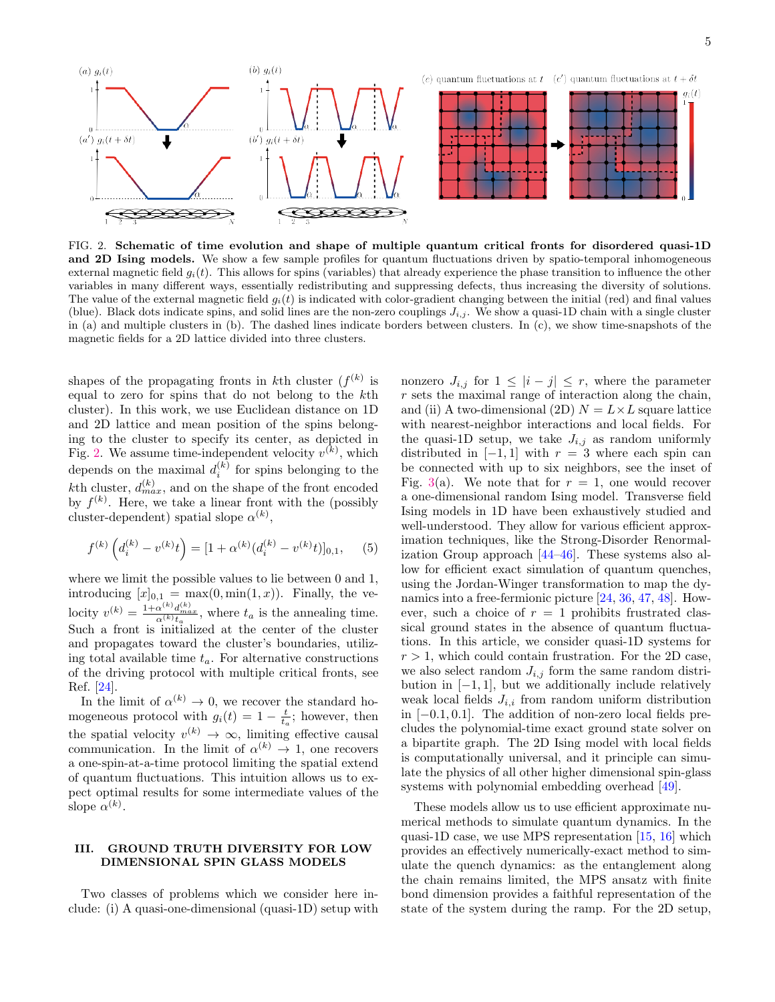

<span id="page-4-0"></span>FIG. 2. Schematic of time evolution and shape of multiple quantum critical fronts for disordered quasi-1D and 2D Ising models. We show a few sample profiles for quantum fluctuations driven by spatio-temporal inhomogeneous external magnetic field  $g_i(t)$ . This allows for spins (variables) that already experience the phase transition to influence the other variables in many different ways, essentially redistributing and suppressing defects, thus increasing the diversity of solutions. The value of the external magnetic field  $g_i(t)$  is indicated with color-gradient changing between the initial (red) and final values (blue). Black dots indicate spins, and solid lines are the non-zero couplings  $J_{i,j}$ . We show a quasi-1D chain with a single cluster in (a) and multiple clusters in (b). The dashed lines indicate borders between clusters. In (c), we show time-snapshots of the magnetic fields for a 2D lattice divided into three clusters.

shapes of the propagating fronts in kth cluster  $(f^{(k)}$  is equal to zero for spins that do not belong to the kth cluster). In this work, we use Euclidean distance on 1D and 2D lattice and mean position of the spins belonging to the cluster to specify its center, as depicted in Fig. [2.](#page-4-0) We assume time-independent velocity  $v^{(k)}$ , which depends on the maximal  $d_i^{(k)}$  for spins belonging to the kth cluster,  $d_{max}^{(k)}$ , and on the shape of the front encoded by  $f^{(k)}$ . Here, we take a linear front with the (possibly cluster-dependent) spatial slope  $\alpha^{(k)}$ ,

$$
f^{(k)}\left(d_i^{(k)} - v^{(k)}t\right) = [1 + \alpha^{(k)}(d_i^{(k)} - v^{(k)}t)]_{0,1}, \quad (5)
$$

where we limit the possible values to lie between 0 and 1, introducing  $[x]_{0,1} = \max(0, \min(1, x))$ . Finally, the velocity  $v^{(k)} = \frac{1 + \alpha^{(k)} d_{max}^{(k)}}{\alpha^{(k)} t_a}$ , where  $t_a$  is the annealing time. Such a front is initialized at the center of the cluster and propagates toward the cluster's boundaries, utilizing total available time  $t_a$ . For alternative constructions of the driving protocol with multiple critical fronts, see Ref. [\[24\]](#page-10-20).

In the limit of  $\alpha^{(k)} \to 0$ , we recover the standard homogeneous protocol with  $g_i(t) = 1 - \frac{t}{t_a}$ ; however, then the spatial velocity  $v^{(k)} \to \infty$ , limiting effective causal communication. In the limit of  $\alpha^{(k)} \to 1$ , one recovers a one-spin-at-a-time protocol limiting the spatial extend of quantum fluctuations. This intuition allows us to expect optimal results for some intermediate values of the slope  $\alpha^{(k)}$ .

## III. GROUND TRUTH DIVERSITY FOR LOW DIMENSIONAL SPIN GLASS MODELS

Two classes of problems which we consider here include: (i) A quasi-one-dimensional (quasi-1D) setup with nonzero  $J_{i,j}$  for  $1 \leq |i-j| \leq r$ , where the parameter r sets the maximal range of interaction along the chain, and (ii) A two-dimensional (2D)  $N = L \times L$  square lattice with nearest-neighbor interactions and local fields. For the quasi-1D setup, we take  $J_{i,j}$  as random uniformly distributed in  $[-1, 1]$  with  $r = 3$  where each spin can be connected with up to six neighbors, see the inset of Fig. [3\(](#page-5-0)a). We note that for  $r = 1$ , one would recover a one-dimensional random Ising model. Transverse field Ising models in 1D have been exhaustively studied and well-understood. They allow for various efficient approximation techniques, like the Strong-Disorder Renormalization Group approach [\[44–](#page-11-1)[46\]](#page-11-2). These systems also allow for efficient exact simulation of quantum quenches, using the Jordan-Winger transformation to map the dynamics into a free-fermionic picture [\[24,](#page-10-20) [36,](#page-10-33) [47,](#page-11-3) [48\]](#page-11-4). However, such a choice of  $r = 1$  prohibits frustrated classical ground states in the absence of quantum fluctuations. In this article, we consider quasi-1D systems for  $r > 1$ , which could contain frustration. For the 2D case, we also select random  $J_{i,j}$  form the same random distribution in  $[-1, 1]$ , but we additionally include relatively weak local fields  $J_{i,i}$  from random uniform distribution in  $[-0.1, 0.1]$ . The addition of non-zero local fields precludes the polynomial-time exact ground state solver on a bipartite graph. The 2D Ising model with local fields is computationally universal, and it principle can simulate the physics of all other higher dimensional spin-glass systems with polynomial embedding overhead [\[49\]](#page-11-5).

These models allow us to use efficient approximate numerical methods to simulate quantum dynamics. In the quasi-1D case, we use MPS representation [\[15,](#page-10-11) [16\]](#page-10-12) which provides an effectively numerically-exact method to simulate the quench dynamics: as the entanglement along the chain remains limited, the MPS ansatz with finite bond dimension provides a faithful representation of the state of the system during the ramp. For the 2D setup,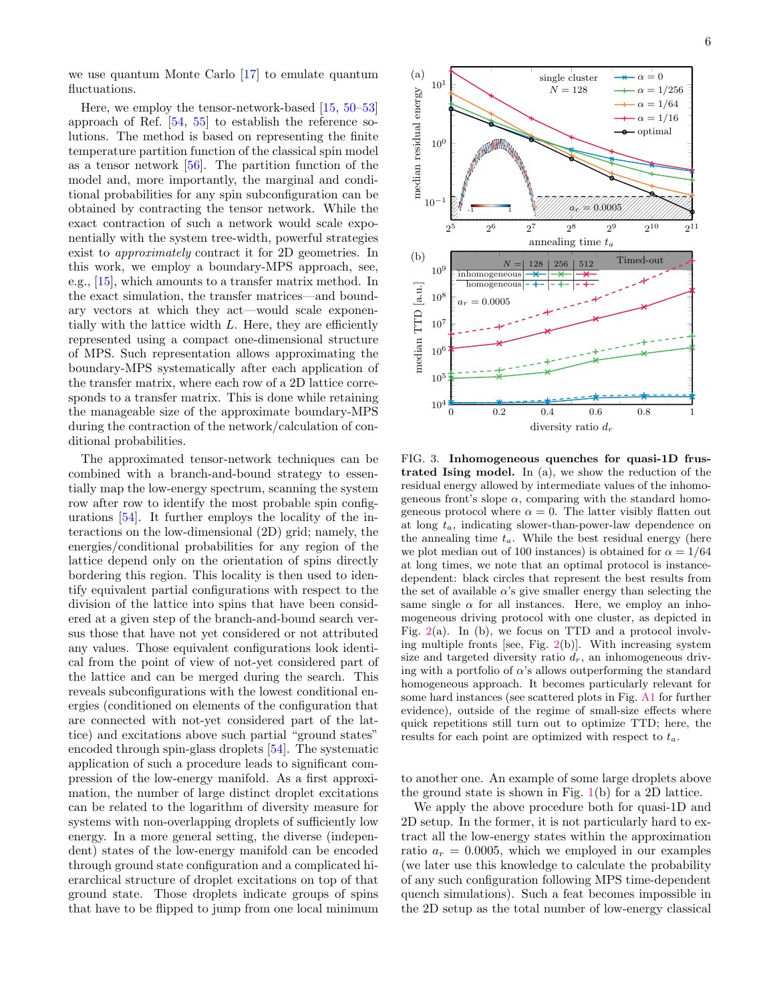we use quantum Monte Carlo [\[17\]](#page-10-13) to emulate quantum fluctuations.

Here, we employ the tensor-network-based [\[15,](#page-10-11) [50](#page-11-6)[–53\]](#page-11-7) approach of Ref. [\[54,](#page-11-8) [55\]](#page-11-9) to establish the reference solutions. The method is based on representing the finite temperature partition function of the classical spin model as a tensor network [\[56\]](#page-11-10). The partition function of the model and, more importantly, the marginal and conditional probabilities for any spin subconfiguration can be obtained by contracting the tensor network. While the exact contraction of such a network would scale exponentially with the system tree-width, powerful strategies exist to approximately contract it for 2D geometries. In this work, we employ a boundary-MPS approach, see, e.g., [\[15\]](#page-10-11), which amounts to a transfer matrix method. In the exact simulation, the transfer matrices—and boundary vectors at which they act—would scale exponentially with the lattice width  $L$ . Here, they are efficiently represented using a compact one-dimensional structure of MPS. Such representation allows approximating the boundary-MPS systematically after each application of the transfer matrix, where each row of a 2D lattice corresponds to a transfer matrix. This is done while retaining the manageable size of the approximate boundary-MPS during the contraction of the network/calculation of conditional probabilities.

The approximated tensor-network techniques can be combined with a branch-and-bound strategy to essentially map the low-energy spectrum, scanning the system row after row to identify the most probable spin configurations [\[54\]](#page-11-8). It further employs the locality of the interactions on the low-dimensional (2D) grid; namely, the energies/conditional probabilities for any region of the lattice depend only on the orientation of spins directly bordering this region. This locality is then used to identify equivalent partial configurations with respect to the division of the lattice into spins that have been considered at a given step of the branch-and-bound search versus those that have not yet considered or not attributed any values. Those equivalent configurations look identical from the point of view of not-yet considered part of the lattice and can be merged during the search. This reveals subconfigurations with the lowest conditional energies (conditioned on elements of the configuration that are connected with not-yet considered part of the lattice) and excitations above such partial "ground states" encoded through spin-glass droplets [\[54\]](#page-11-8). The systematic application of such a procedure leads to significant compression of the low-energy manifold. As a first approximation, the number of large distinct droplet excitations can be related to the logarithm of diversity measure for systems with non-overlapping droplets of sufficiently low energy. In a more general setting, the diverse (independent) states of the low-energy manifold can be encoded through ground state configuration and a complicated hierarchical structure of droplet excitations on top of that ground state. Those droplets indicate groups of spins that have to be flipped to jump from one local minimum



<span id="page-5-0"></span>FIG. 3. Inhomogeneous quenches for quasi-1D frustrated Ising model. In (a), we show the reduction of the residual energy allowed by intermediate values of the inhomogeneous front's slope  $\alpha$ , comparing with the standard homogeneous protocol where  $\alpha = 0$ . The latter visibly flatten out at long  $t_a$ , indicating slower-than-power-law dependence on the annealing time  $t_a$ . While the best residual energy (here we plot median out of 100 instances) is obtained for  $\alpha = 1/64$ at long times, we note that an optimal protocol is instancedependent: black circles that represent the best results from the set of available  $\alpha$ 's give smaller energy than selecting the same single  $\alpha$  for all instances. Here, we employ an inhomogeneous driving protocol with one cluster, as depicted in Fig.  $2(a)$  $2(a)$ . In (b), we focus on TTD and a protocol involving multiple fronts [see, Fig.  $2(b)$  $2(b)$ ]. With increasing system size and targeted diversity ratio  $d_r$ , an inhomogeneous driving with a portfolio of  $\alpha$ 's allows outperforming the standard homogeneous approach. It becomes particularly relevant for some hard instances (see scattered plots in Fig. [A1](#page-1-0) for further evidence), outside of the regime of small-size effects where quick repetitions still turn out to optimize TTD; here, the results for each point are optimized with respect to  $t_a$ .

to another one. An example of some large droplets above the ground state is shown in Fig. [1\(](#page-1-0)b) for a 2D lattice.

We apply the above procedure both for quasi-1D and 2D setup. In the former, it is not particularly hard to extract all the low-energy states within the approximation ratio  $a_r = 0.0005$ , which we employed in our examples (we later use this knowledge to calculate the probability of any such configuration following MPS time-dependent quench simulations). Such a feat becomes impossible in the 2D setup as the total number of low-energy classical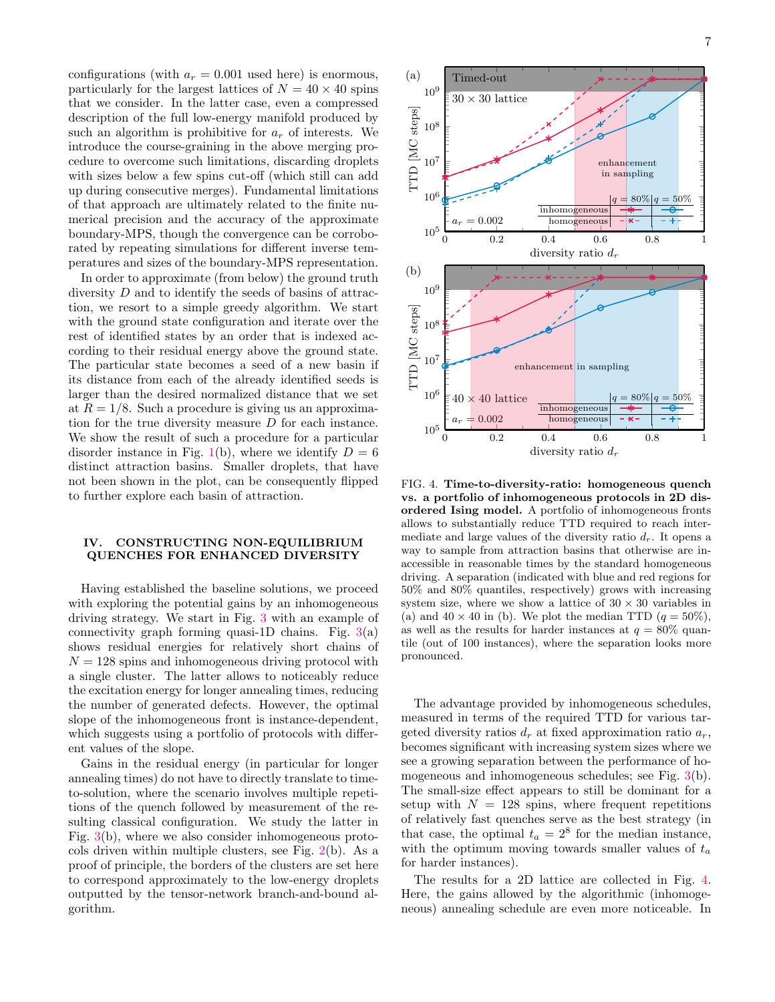configurations (with  $a_r = 0.001$  used here) is enormous, particularly for the largest lattices of  $N = 40 \times 40$  spins that we consider. In the latter case, even a compressed description of the full low-energy manifold produced by such an algorithm is prohibitive for  $a_r$  of interests. We introduce the course-graining in the above merging procedure to overcome such limitations, discarding droplets with sizes below a few spins cut-off (which still can add up during consecutive merges). Fundamental limitations of that approach are ultimately related to the finite numerical precision and the accuracy of the approximate boundary-MPS, though the convergence can be corroborated by repeating simulations for different inverse temperatures and sizes of the boundary-MPS representation.

In order to approximate (from below) the ground truth diversity D and to identify the seeds of basins of attraction, we resort to a simple greedy algorithm. We start with the ground state configuration and iterate over the rest of identified states by an order that is indexed according to their residual energy above the ground state. The particular state becomes a seed of a new basin if its distance from each of the already identified seeds is larger than the desired normalized distance that we set at  $R = 1/8$ . Such a procedure is giving us an approximation for the true diversity measure D for each instance. We show the result of such a procedure for a particular disorder instance in Fig. [1\(](#page-1-0)b), where we identify  $D = 6$ distinct attraction basins. Smaller droplets, that have not been shown in the plot, can be consequently flipped to further explore each basin of attraction.

# IV. CONSTRUCTING NON-EQUILIBRIUM QUENCHES FOR ENHANCED DIVERSITY

Having established the baseline solutions, we proceed with exploring the potential gains by an inhomogeneous driving strategy. We start in Fig. [3](#page-5-0) with an example of connectivity graph forming quasi-1D chains. Fig.  $3(a)$  $3(a)$ shows residual energies for relatively short chains of  $N = 128$  spins and inhomogeneous driving protocol with a single cluster. The latter allows to noticeably reduce the excitation energy for longer annealing times, reducing the number of generated defects. However, the optimal slope of the inhomogeneous front is instance-dependent, which suggests using a portfolio of protocols with different values of the slope.

Gains in the residual energy (in particular for longer annealing times) do not have to directly translate to timeto-solution, where the scenario involves multiple repetitions of the quench followed by measurement of the resulting classical configuration. We study the latter in Fig. [3\(](#page-5-0)b), where we also consider inhomogeneous protocols driven within multiple clusters, see Fig. [2\(](#page-4-0)b). As a proof of principle, the borders of the clusters are set here to correspond approximately to the low-energy droplets outputted by the tensor-network branch-and-bound algorithm.



<span id="page-6-0"></span>FIG. 4. Time-to-diversity-ratio: homogeneous quench vs. a portfolio of inhomogeneous protocols in 2D disordered Ising model. A portfolio of inhomogeneous fronts allows to substantially reduce TTD required to reach intermediate and large values of the diversity ratio  $d_r$ . It opens a way to sample from attraction basins that otherwise are inaccessible in reasonable times by the standard homogeneous driving. A separation (indicated with blue and red regions for 50% and 80% quantiles, respectively) grows with increasing system size, where we show a lattice of  $30 \times 30$  variables in (a) and  $40 \times 40$  in (b). We plot the median TTD  $(q = 50\%)$ , as well as the results for harder instances at  $q = 80\%$  quantile (out of 100 instances), where the separation looks more pronounced.

The advantage provided by inhomogeneous schedules, measured in terms of the required TTD for various targeted diversity ratios  $d_r$  at fixed approximation ratio  $a_r$ , becomes significant with increasing system sizes where we see a growing separation between the performance of homogeneous and inhomogeneous schedules; see Fig. [3\(](#page-5-0)b). The small-size effect appears to still be dominant for a setup with  $N = 128$  spins, where frequent repetitions of relatively fast quenches serve as the best strategy (in that case, the optimal  $t_a = 2^8$  for the median instance, with the optimum moving towards smaller values of  $t_a$ for harder instances).

The results for a 2D lattice are collected in Fig. [4.](#page-6-0) Here, the gains allowed by the algorithmic (inhomogeneous) annealing schedule are even more noticeable. In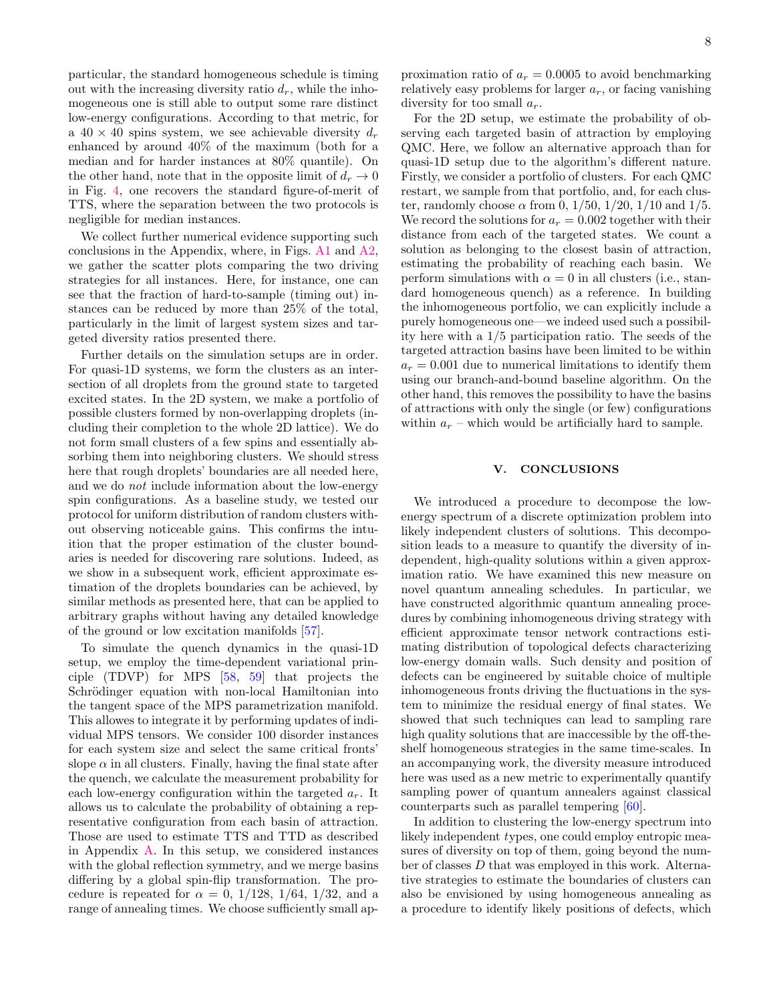particular, the standard homogeneous schedule is timing out with the increasing diversity ratio  $d_r$ , while the inhomogeneous one is still able to output some rare distinct low-energy configurations. According to that metric, for a  $40 \times 40$  spins system, we see achievable diversity  $d_r$ enhanced by around 40% of the maximum (both for a median and for harder instances at 80% quantile). On the other hand, note that in the opposite limit of  $d_r \to 0$ in Fig. [4,](#page-6-0) one recovers the standard figure-of-merit of TTS, where the separation between the two protocols is negligible for median instances.

We collect further numerical evidence supporting such conclusions in the Appendix, where, in Figs. [A1](#page-1-0) and [A2,](#page-4-0) we gather the scatter plots comparing the two driving strategies for all instances. Here, for instance, one can see that the fraction of hard-to-sample (timing out) instances can be reduced by more than 25% of the total, particularly in the limit of largest system sizes and targeted diversity ratios presented there.

Further details on the simulation setups are in order. For quasi-1D systems, we form the clusters as an intersection of all droplets from the ground state to targeted excited states. In the 2D system, we make a portfolio of possible clusters formed by non-overlapping droplets (including their completion to the whole 2D lattice). We do not form small clusters of a few spins and essentially absorbing them into neighboring clusters. We should stress here that rough droplets' boundaries are all needed here, and we do not include information about the low-energy spin configurations. As a baseline study, we tested our protocol for uniform distribution of random clusters without observing noticeable gains. This confirms the intuition that the proper estimation of the cluster boundaries is needed for discovering rare solutions. Indeed, as we show in a subsequent work, efficient approximate estimation of the droplets boundaries can be achieved, by similar methods as presented here, that can be applied to arbitrary graphs without having any detailed knowledge of the ground or low excitation manifolds [\[57\]](#page-11-11).

To simulate the quench dynamics in the quasi-1D setup, we employ the time-dependent variational principle (TDVP) for MPS [\[58,](#page-11-12) [59\]](#page-11-13) that projects the Schrödinger equation with non-local Hamiltonian into the tangent space of the MPS parametrization manifold. This allowes to integrate it by performing updates of individual MPS tensors. We consider 100 disorder instances for each system size and select the same critical fronts' slope  $\alpha$  in all clusters. Finally, having the final state after the quench, we calculate the measurement probability for each low-energy configuration within the targeted  $a_r$ . It allows us to calculate the probability of obtaining a representative configuration from each basin of attraction. Those are used to estimate TTS and TTD as described in Appendix [A.](#page-8-0) In this setup, we considered instances with the global reflection symmetry, and we merge basins differing by a global spin-flip transformation. The procedure is repeated for  $\alpha = 0, 1/128, 1/64, 1/32,$  and a range of annealing times. We choose sufficiently small ap-

For the 2D setup, we estimate the probability of observing each targeted basin of attraction by employing QMC. Here, we follow an alternative approach than for quasi-1D setup due to the algorithm's different nature. Firstly, we consider a portfolio of clusters. For each QMC restart, we sample from that portfolio, and, for each cluster, randomly choose  $\alpha$  from 0, 1/50, 1/20, 1/10 and 1/5. We record the solutions for  $a_r = 0.002$  together with their distance from each of the targeted states. We count a solution as belonging to the closest basin of attraction, estimating the probability of reaching each basin. We perform simulations with  $\alpha = 0$  in all clusters (i.e., standard homogeneous quench) as a reference. In building the inhomogeneous portfolio, we can explicitly include a purely homogeneous one—we indeed used such a possibility here with a 1/5 participation ratio. The seeds of the targeted attraction basins have been limited to be within  $a_r = 0.001$  due to numerical limitations to identify them using our branch-and-bound baseline algorithm. On the other hand, this removes the possibility to have the basins of attractions with only the single (or few) configurations within  $a_r$  – which would be artificially hard to sample.

### V. CONCLUSIONS

We introduced a procedure to decompose the lowenergy spectrum of a discrete optimization problem into likely independent clusters of solutions. This decomposition leads to a measure to quantify the diversity of independent, high-quality solutions within a given approximation ratio. We have examined this new measure on novel quantum annealing schedules. In particular, we have constructed algorithmic quantum annealing procedures by combining inhomogeneous driving strategy with efficient approximate tensor network contractions estimating distribution of topological defects characterizing low-energy domain walls. Such density and position of defects can be engineered by suitable choice of multiple inhomogeneous fronts driving the fluctuations in the system to minimize the residual energy of final states. We showed that such techniques can lead to sampling rare high quality solutions that are inaccessible by the off-theshelf homogeneous strategies in the same time-scales. In an accompanying work, the diversity measure introduced here was used as a new metric to experimentally quantify sampling power of quantum annealers against classical counterparts such as parallel tempering [\[60\]](#page-11-14).

In addition to clustering the low-energy spectrum into likely independent types, one could employ entropic measures of diversity on top of them, going beyond the number of classes D that was employed in this work. Alternative strategies to estimate the boundaries of clusters can also be envisioned by using homogeneous annealing as a procedure to identify likely positions of defects, which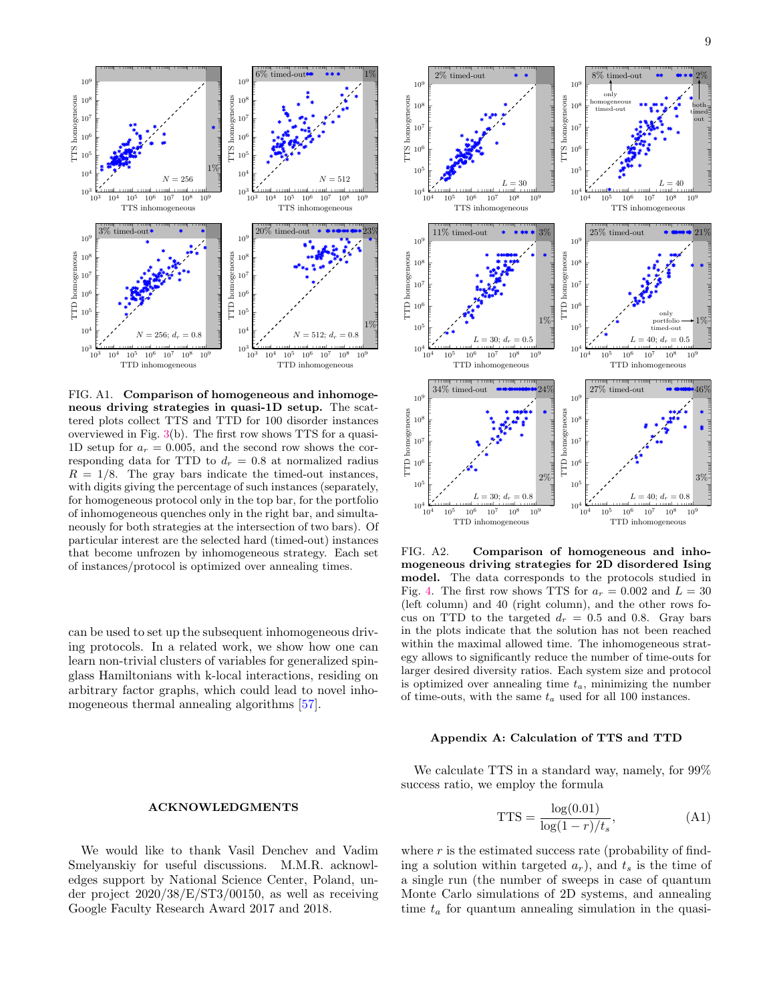

FIG. A1. Comparison of homogeneous and inhomogeneous driving strategies in quasi-1D setup. The scattered plots collect TTS and TTD for 100 disorder instances overviewed in Fig. [3\(](#page-5-0)b). The first row shows TTS for a quasi-1D setup for  $a_r = 0.005$ , and the second row shows the corresponding data for TTD to  $d_r = 0.8$  at normalized radius  $R = 1/8$ . The gray bars indicate the timed-out instances, with digits giving the percentage of such instances (separately, for homogeneous protocol only in the top bar, for the portfolio of inhomogeneous quenches only in the right bar, and simultaneously for both strategies at the intersection of two bars). Of particular interest are the selected hard (timed-out) instances that become unfrozen by inhomogeneous strategy. Each set of instances/protocol is optimized over annealing times.

can be used to set up the subsequent inhomogeneous driving protocols. In a related work, we show how one can learn non-trivial clusters of variables for generalized spinglass Hamiltonians with k-local interactions, residing on arbitrary factor graphs, which could lead to novel inhomogeneous thermal annealing algorithms [\[57\]](#page-11-11).

### ACKNOWLEDGMENTS

We would like to thank Vasil Denchev and Vadim Smelyanskiy for useful discussions. M.M.R. acknowledges support by National Science Center, Poland, under project 2020/38/E/ST3/00150, as well as receiving Google Faculty Research Award 2017 and 2018.



FIG. A2. Comparison of homogeneous and inhomogeneous driving strategies for 2D disordered Ising model. The data corresponds to the protocols studied in Fig. [4.](#page-6-0) The first row shows TTS for  $a_r = 0.002$  and  $L = 30$ (left column) and 40 (right column), and the other rows focus on TTD to the targeted  $d_r = 0.5$  and 0.8. Gray bars in the plots indicate that the solution has not been reached within the maximal allowed time. The inhomogeneous strategy allows to significantly reduce the number of time-outs for larger desired diversity ratios. Each system size and protocol is optimized over annealing time  $t_a$ , minimizing the number of time-outs, with the same  $t_a$  used for all 100 instances.

### <span id="page-8-0"></span>Appendix A: Calculation of TTS and TTD

We calculate TTS in a standard way, namely, for 99% success ratio, we employ the formula

<span id="page-8-1"></span>
$$
TTS = \frac{\log(0.01)}{\log(1 - r)/t_s},\tag{A1}
$$

where  $r$  is the estimated success rate (probability of finding a solution within targeted  $a_r$ ), and  $t_s$  is the time of a single run (the number of sweeps in case of quantum Monte Carlo simulations of 2D systems, and annealing time  $t_a$  for quantum annealing simulation in the quasi-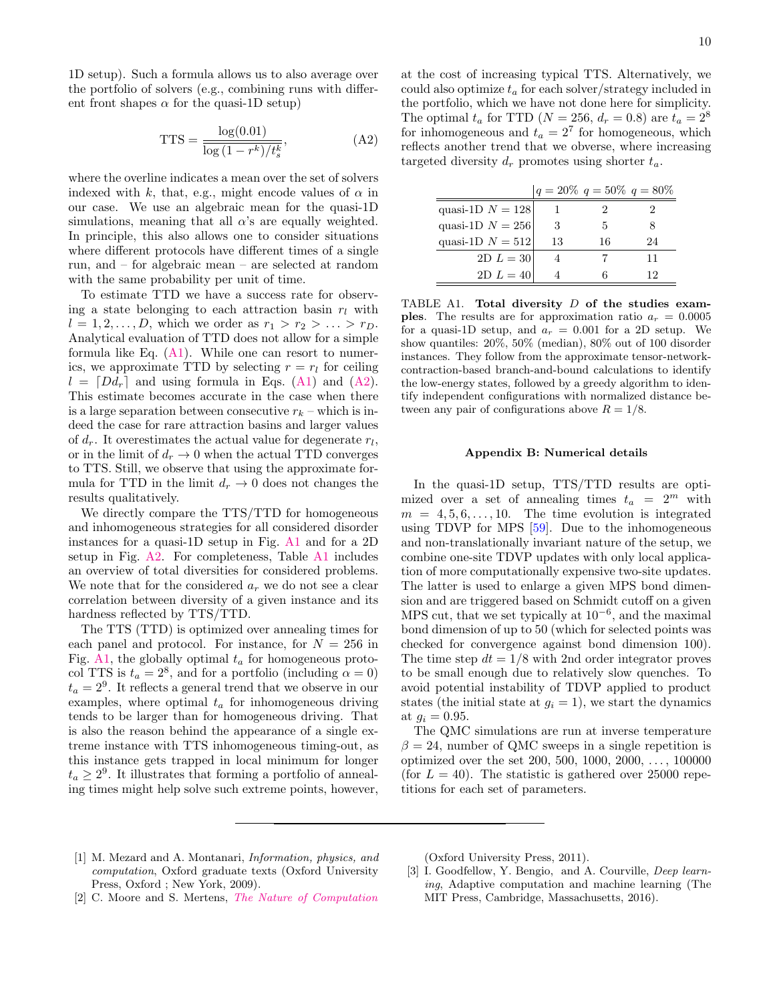10

1D setup). Such a formula allows us to also average over the portfolio of solvers (e.g., combining runs with different front shapes  $\alpha$  for the quasi-1D setup)

<span id="page-9-3"></span>
$$
TTS = \frac{\log(0.01)}{\log(1 - r^k)/t_s^k},
$$
 (A2)

where the overline indicates a mean over the set of solvers indexed with k, that, e.g., might encode values of  $\alpha$  in our case. We use an algebraic mean for the quasi-1D simulations, meaning that all  $\alpha$ 's are equally weighted. In principle, this also allows one to consider situations where different protocols have different times of a single run, and – for algebraic mean – are selected at random with the same probability per unit of time.

To estimate TTD we have a success rate for observing a state belonging to each attraction basin  $r_l$  with  $l = 1, 2, ..., D$ , which we order as  $r_1 > r_2 > ... > r_D$ . Analytical evaluation of TTD does not allow for a simple formula like Eq.  $(A1)$ . While one can resort to numerics, we approximate TTD by selecting  $r = r_l$  for ceiling  $l = [Dd_r]$  and using formula in Eqs. [\(A1\)](#page-8-1) and [\(A2\)](#page-9-3). This estimate becomes accurate in the case when there is a large separation between consecutive  $r_k$  – which is indeed the case for rare attraction basins and larger values of  $d_r$ . It overestimates the actual value for degenerate  $r_l$ , or in the limit of  $d_r \to 0$  when the actual TTD converges to TTS. Still, we observe that using the approximate formula for TTD in the limit  $d_r \to 0$  does not changes the results qualitatively.

We directly compare the TTS/TTD for homogeneous and inhomogeneous strategies for all considered disorder instances for a quasi-1D setup in Fig. [A1](#page-1-0) and for a 2D setup in Fig. [A2.](#page-4-0) For completeness, Table [A1](#page-9-4) includes an overview of total diversities for considered problems. We note that for the considered  $a_r$  we do not see a clear correlation between diversity of a given instance and its hardness reflected by TTS/TTD.

The TTS (TTD) is optimized over annealing times for each panel and protocol. For instance, for  $N = 256$  in Fig. [A1,](#page-1-0) the globally optimal  $t_a$  for homogeneous protocol TTS is  $t_a = 2^8$ , and for a portfolio (including  $\alpha = 0$ )  $t_a = 2^9$ . It reflects a general trend that we observe in our examples, where optimal  $t_a$  for inhomogeneous driving tends to be larger than for homogeneous driving. That is also the reason behind the appearance of a single extreme instance with TTS inhomogeneous timing-out, as this instance gets trapped in local minimum for longer  $t_a \geq 2^9$ . It illustrates that forming a portfolio of annealing times might help solve such extreme points, however, at the cost of increasing typical TTS. Alternatively, we could also optimize  $t_a$  for each solver/strategy included in the portfolio, which we have not done here for simplicity. The optimal  $t_a$  for TTD ( $N = 256$ ,  $d_r = 0.8$ ) are  $t_a = 2^8$ for inhomogeneous and  $t_a = 2^7$  for homogeneous, which reflects another trend that we obverse, where increasing targeted diversity  $d_r$  promotes using shorter  $t_a$ .

|                    | $ q=20\% \, q=50\% \, q=80\%$ |    |    |
|--------------------|-------------------------------|----|----|
| quasi-1D $N = 128$ |                               |    |    |
| quasi-1D $N = 256$ | З                             | 5  |    |
| quasi-1D $N = 512$ | 13                            | 16 | 24 |
| $2D L = 30$        |                               |    | 11 |
| $2D L = 40$        |                               |    | יי |

<span id="page-9-4"></span>TABLE A1. Total diversity  $D$  of the studies exam**ples.** The results are for approximation ratio  $a_r = 0.0005$ for a quasi-1D setup, and  $a_r = 0.001$  for a 2D setup. We show quantiles: 20%, 50% (median), 80% out of 100 disorder instances. They follow from the approximate tensor-networkcontraction-based branch-and-bound calculations to identify the low-energy states, followed by a greedy algorithm to identify independent configurations with normalized distance between any pair of configurations above  $R = 1/8$ .

### Appendix B: Numerical details

In the quasi-1D setup, TTS/TTD results are optimized over a set of annealing times  $t_a = 2^m$  with  $m = 4, 5, 6, \ldots, 10$ . The time evolution is integrated using TDVP for MPS [\[59\]](#page-11-13). Due to the inhomogeneous and non-translationally invariant nature of the setup, we combine one-site TDVP updates with only local application of more computationally expensive two-site updates. The latter is used to enlarge a given MPS bond dimension and are triggered based on Schmidt cutoff on a given MPS cut, that we set typically at  $10^{-6}$ , and the maximal bond dimension of up to 50 (which for selected points was checked for convergence against bond dimension 100). The time step  $dt = 1/8$  with 2nd order integrator proves to be small enough due to relatively slow quenches. To avoid potential instability of TDVP applied to product states (the initial state at  $g_i = 1$ ), we start the dynamics at  $g_i = 0.95$ .

The QMC simulations are run at inverse temperature  $\beta = 24$ , number of QMC sweeps in a single repetition is optimized over the set 200, 500, 1000, 2000, . . . , 100000 (for  $L = 40$ ). The statistic is gathered over 25000 repetitions for each set of parameters.

<span id="page-9-0"></span>[1] M. Mezard and A. Montanari, Information, physics, and computation, Oxford graduate texts (Oxford University Press, Oxford ; New York, 2009).

(Oxford University Press, 2011).

- <span id="page-9-2"></span>[3] I. Goodfellow, Y. Bengio, and A. Courville, *Deep learn*ing, Adaptive computation and machine learning (The MIT Press, Cambridge, Massachusetts, 2016).
- <span id="page-9-1"></span>[2] C. Moore and S. Mertens, [The Nature of Computation](https://oxford.universitypressscholarship.com/view/10.1093/acprof:oso/9780199233212.001.0001/acprof-9780199233212)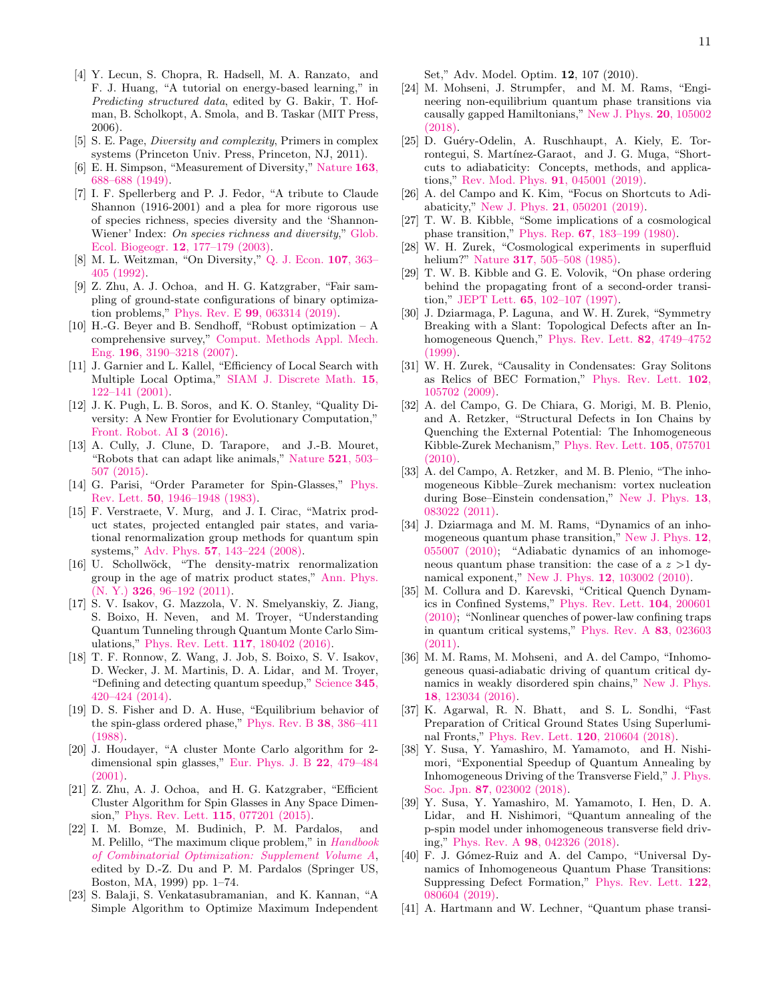- <span id="page-10-0"></span>[4] Y. Lecun, S. Chopra, R. Hadsell, M. A. Ranzato, and F. J. Huang, "A tutorial on energy-based learning," in Predicting structured data, edited by G. Bakir, T. Hofman, B. Scholkopt, A. Smola, and B. Taskar (MIT Press, 2006).
- <span id="page-10-1"></span>[5] S. E. Page, Diversity and complexity, Primers in complex systems (Princeton Univ. Press, Princeton, NJ, 2011).
- <span id="page-10-2"></span>[6] E. H. Simpson, "Measurement of Diversity," [Nature](http://www.nature.com/articles/163688a0) 163, [688–688 \(1949\).](http://www.nature.com/articles/163688a0)
- <span id="page-10-3"></span>[7] I. F. Spellerberg and P. J. Fedor, "A tribute to Claude Shannon (1916-2001) and a plea for more rigorous use of species richness, species diversity and the 'Shannon-Wiener' Index: On species richness and diversity," [Glob.](http://doi.wiley.com/10.1046/j.1466-822X.2003.00015.x) Ecol. Biogeogr. 12[, 177–179 \(2003\).](http://doi.wiley.com/10.1046/j.1466-822X.2003.00015.x)
- <span id="page-10-4"></span>[8] M. L. Weitzman, "On Diversity," [Q. J. Econ.](https://academic.oup.com/qje/article-lookup/doi/10.2307/2118476) 107, 363– [405 \(1992\).](https://academic.oup.com/qje/article-lookup/doi/10.2307/2118476)
- <span id="page-10-5"></span>[9] Z. Zhu, A. J. Ochoa, and H. G. Katzgraber, "Fair sampling of ground-state configurations of binary optimization problems," Phys. Rev. E 99[, 063314 \(2019\).](https://link.aps.org/doi/10.1103/PhysRevE.99.063314)
- <span id="page-10-6"></span>[10] H.-G. Beyer and B. Sendhoff, "Robust optimization – A comprehensive survey," [Comput. Methods Appl. Mech.](https://linkinghub.elsevier.com/retrieve/pii/S0045782507001259) Eng. 196[, 3190–3218 \(2007\).](https://linkinghub.elsevier.com/retrieve/pii/S0045782507001259)
- <span id="page-10-7"></span>[11] J. Garnier and L. Kallel, "Efficiency of Local Search with Multiple Local Optima," [SIAM J. Discrete Math.](http://epubs.siam.org/doi/10.1137/S0895480199355225) 15, [122–141 \(2001\).](http://epubs.siam.org/doi/10.1137/S0895480199355225)
- <span id="page-10-8"></span>[12] J. K. Pugh, L. B. Soros, and K. O. Stanley, "Quality Diversity: A New Frontier for Evolutionary Computation," [Front. Robot. AI](http://journal.frontiersin.org/Article/10.3389/frobt.2016.00040/abstract) 3 (2016).
- <span id="page-10-9"></span>[13] A. Cully, J. Clune, D. Tarapore, and J.-B. Mouret, "Robots that can adapt like animals," [Nature](http://www.nature.com/articles/nature14422) 521, 503– [507 \(2015\).](http://www.nature.com/articles/nature14422)
- <span id="page-10-10"></span>[14] G. Parisi, "Order Parameter for Spin-Glasses," [Phys.](https://link.aps.org/doi/10.1103/PhysRevLett.50.1946) Rev. Lett. 50[, 1946–1948 \(1983\).](https://link.aps.org/doi/10.1103/PhysRevLett.50.1946)
- <span id="page-10-11"></span>[15] F. Verstraete, V. Murg, and J. I. Cirac, "Matrix product states, projected entangled pair states, and variational renormalization group methods for quantum spin systems," Adv. Phys. 57[, 143–224 \(2008\).](http://www.tandfonline.com/doi/abs/10.1080/14789940801912366)
- <span id="page-10-12"></span>[16] U. Schollwöck, "The density-matrix renormalization" group in the age of matrix product states," [Ann. Phys.](https://linkinghub.elsevier.com/retrieve/pii/S0003491610001752) (N. Y.) 326[, 96–192 \(2011\).](https://linkinghub.elsevier.com/retrieve/pii/S0003491610001752)
- <span id="page-10-13"></span>[17] S. V. Isakov, G. Mazzola, V. N. Smelyanskiy, Z. Jiang, S. Boixo, H. Neven, and M. Troyer, "Understanding Quantum Tunneling through Quantum Monte Carlo Simulations," [Phys. Rev. Lett.](https://link.aps.org/doi/10.1103/PhysRevLett.117.180402) 117, 180402 (2016).
- <span id="page-10-14"></span>[18] T. F. Ronnow, Z. Wang, J. Job, S. Boixo, S. V. Isakov, D. Wecker, J. M. Martinis, D. A. Lidar, and M. Troyer, "Defining and detecting quantum speedup," [Science](https://www.sciencemag.org/lookup/doi/10.1126/science.1252319) 345, [420–424 \(2014\).](https://www.sciencemag.org/lookup/doi/10.1126/science.1252319)
- <span id="page-10-15"></span>[19] D. S. Fisher and D. A. Huse, "Equilibrium behavior of the spin-glass ordered phase," [Phys. Rev. B](https://link.aps.org/doi/10.1103/PhysRevB.38.386) 38, 386–411 [\(1988\).](https://link.aps.org/doi/10.1103/PhysRevB.38.386)
- <span id="page-10-16"></span>[20] J. Houdayer, "A cluster Monte Carlo algorithm for 2 dimensional spin glasses," [Eur. Phys. J. B](http://link.springer.com/10.1007/PL00011151) 22, 479–484  $(2001)$ .
- <span id="page-10-17"></span>[21] Z. Zhu, A. J. Ochoa, and H. G. Katzgraber, "Efficient Cluster Algorithm for Spin Glasses in Any Space Dimension," [Phys. Rev. Lett.](https://link.aps.org/doi/10.1103/PhysRevLett.115.077201) 115, 077201 (2015).
- <span id="page-10-18"></span>[22] I. M. Bomze, M. Budinich, P. M. Pardalos, and M. Pelillo, "The maximum clique problem," in [Handbook](https://doi.org/10.1007/978-1-4757-3023-4_1) [of Combinatorial Optimization: Supplement Volume A](https://doi.org/10.1007/978-1-4757-3023-4_1), edited by D.-Z. Du and P. M. Pardalos (Springer US, Boston, MA, 1999) pp. 1–74.
- <span id="page-10-19"></span>[23] S. Balaji, S. Venkatasubramanian, and K. Kannan, "A Simple Algorithm to Optimize Maximum Independent

Set," Adv. Model. Optim. 12, 107 (2010).

- <span id="page-10-20"></span>[24] M. Mohseni, J. Strumpfer, and M. M. Rams, "Engineering non-equilibrium quantum phase transitions via causally gapped Hamiltonians," [New J. Phys.](https://iopscience.iop.org/article/10.1088/1367-2630/aae3ed) 20, 105002 [\(2018\).](https://iopscience.iop.org/article/10.1088/1367-2630/aae3ed)
- <span id="page-10-21"></span>[25] D. Guéry-Odelin, A. Ruschhaupt, A. Kiely, E. Torrontegui, S. Martínez-Garaot, and J. G. Muga, "Shortcuts to adiabaticity: Concepts, methods, and applications," [Rev. Mod. Phys.](https://link.aps.org/doi/10.1103/RevModPhys.91.045001) 91, 045001 (2019).
- <span id="page-10-22"></span>[26] A. del Campo and K. Kim, "Focus on Shortcuts to Adiabaticity," New J. Phys. 21[, 050201 \(2019\).](https://iopscience.iop.org/article/10.1088/1367-2630/ab1437)
- <span id="page-10-23"></span>[27] T. W. B. Kibble, "Some implications of a cosmological phase transition," Phys. Rep. 67[, 183–199 \(1980\).](https://linkinghub.elsevier.com/retrieve/pii/0370157380900915)
- <span id="page-10-24"></span>[28] W. H. Zurek, "Cosmological experiments in superfluid helium?" Nature **317**[, 505–508 \(1985\).](http://www.nature.com/articles/317505a0)
- <span id="page-10-25"></span>[29] T. W. B. Kibble and G. E. Volovik, "On phase ordering behind the propagating front of a second-order transition," JEPT Lett. 65[, 102–107 \(1997\).](http://link.springer.com/10.1134/1.567332)
- [30] J. Dziarmaga, P. Laguna, and W. H. Zurek, "Symmetry Breaking with a Slant: Topological Defects after an Inhomogeneous Quench," [Phys. Rev. Lett.](https://link.aps.org/doi/10.1103/PhysRevLett.82.4749) 82, 4749–4752 [\(1999\).](https://link.aps.org/doi/10.1103/PhysRevLett.82.4749)
- [31] W. H. Zurek, "Causality in Condensates: Gray Solitons as Relics of BEC Formation," [Phys. Rev. Lett.](https://link.aps.org/doi/10.1103/PhysRevLett.102.105702) 102, [105702 \(2009\).](https://link.aps.org/doi/10.1103/PhysRevLett.102.105702)
- [32] A. del Campo, G. De Chiara, G. Morigi, M. B. Plenio, and A. Retzker, "Structural Defects in Ion Chains by Quenching the External Potential: The Inhomogeneous Kibble-Zurek Mechanism," [Phys. Rev. Lett.](https://link.aps.org/doi/10.1103/PhysRevLett.105.075701) 105, 075701  $(2010)$ .
- <span id="page-10-26"></span>[33] A. del Campo, A. Retzker, and M. B. Plenio, "The inhomogeneous Kibble–Zurek mechanism: vortex nucleation during Bose–Einstein condensation," [New J. Phys.](https://iopscience.iop.org/article/10.1088/1367-2630/13/8/083022) 13, [083022 \(2011\).](https://iopscience.iop.org/article/10.1088/1367-2630/13/8/083022)
- <span id="page-10-27"></span>[34] J. Dziarmaga and M. M. Rams, "Dynamics of an inhomogeneous quantum phase transition," [New J. Phys.](https://iopscience.iop.org/article/10.1088/1367-2630/12/5/055007) 12, [055007 \(2010\);](https://iopscience.iop.org/article/10.1088/1367-2630/12/5/055007) "Adiabatic dynamics of an inhomogeneous quantum phase transition: the case of a  $z >1$  dynamical exponent," New J. Phys. 12[, 103002 \(2010\).](https://iopscience.iop.org/article/10.1088/1367-2630/12/10/103002)
- <span id="page-10-28"></span>[35] M. Collura and D. Karevski, "Critical Quench Dynamics in Confined Systems," [Phys. Rev. Lett.](https://link.aps.org/doi/10.1103/PhysRevLett.104.200601) 104, 200601 [\(2010\);](https://link.aps.org/doi/10.1103/PhysRevLett.104.200601) "Nonlinear quenches of power-law confining traps in quantum critical systems," [Phys. Rev. A](https://link.aps.org/doi/10.1103/PhysRevA.83.023603) 83, 023603 [\(2011\).](https://link.aps.org/doi/10.1103/PhysRevA.83.023603)
- <span id="page-10-33"></span>[36] M. M. Rams, M. Mohseni, and A. del Campo, "Inhomogeneous quasi-adiabatic driving of quantum critical dynamics in weakly disordered spin chains," [New J. Phys.](https://iopscience.iop.org/article/10.1088/1367-2630/aa5079) 18[, 123034 \(2016\).](https://iopscience.iop.org/article/10.1088/1367-2630/aa5079)
- <span id="page-10-30"></span>[37] K. Agarwal, R. N. Bhatt, and S. L. Sondhi, "Fast Preparation of Critical Ground States Using Superluminal Fronts," [Phys. Rev. Lett.](https://link.aps.org/doi/10.1103/PhysRevLett.120.210604) 120, 210604 (2018).
- <span id="page-10-31"></span>[38] Y. Susa, Y. Yamashiro, M. Yamamoto, and H. Nishimori, "Exponential Speedup of Quantum Annealing by Inhomogeneous Driving of the Transverse Field," [J. Phys.](https://journals.jps.jp/doi/10.7566/JPSJ.87.023002) Soc. Jpn. 87[, 023002 \(2018\).](https://journals.jps.jp/doi/10.7566/JPSJ.87.023002)
- <span id="page-10-32"></span>[39] Y. Susa, Y. Yamashiro, M. Yamamoto, I. Hen, D. A. Lidar, and H. Nishimori, "Quantum annealing of the p-spin model under inhomogeneous transverse field driving," Phys. Rev. A 98[, 042326 \(2018\).](https://link.aps.org/doi/10.1103/PhysRevA.98.042326)
- <span id="page-10-29"></span>[40] F. J. Gómez-Ruiz and A. del Campo, "Universal Dynamics of Inhomogeneous Quantum Phase Transitions: Suppressing Defect Formation," [Phys. Rev. Lett.](https://link.aps.org/doi/10.1103/PhysRevLett.122.080604) 122, [080604 \(2019\).](https://link.aps.org/doi/10.1103/PhysRevLett.122.080604)
- [41] A. Hartmann and W. Lechner, "Quantum phase transi-